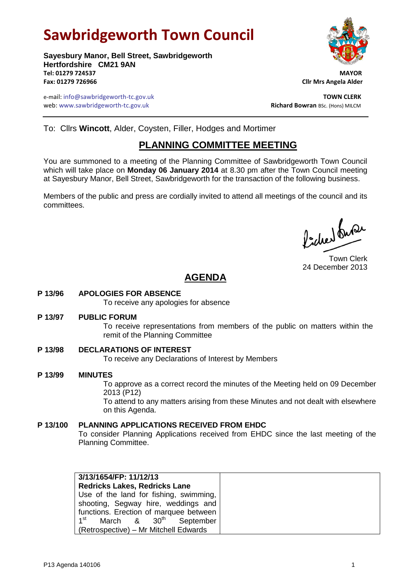# **Sawbridgeworth Town Council**

**Sayesbury Manor, Bell Street, Sawbridgeworth Hertfordshire CM21 9AN Tel: 01279 724537 MAYOR Fax: 01279 726966 Cllr Mrs Angela Alder**

e-mail: info@sawbridgeworth-tc.gov.uk **TOWN CLERK** web: www.sawbridgeworth-tc.gov.uk<br> **Richard Bowran** BSc. (Hons) MILCM

To: Cllrs **Wincott**, Alder, Coysten, Filler, Hodges and Mortimer

## **PLANNING COMMITTEE MEETING**

You are summoned to a meeting of the Planning Committee of Sawbridgeworth Town Council which will take place on **Monday 06 January 2014** at 8.30 pm after the Town Council meeting at Sayesbury Manor, Bell Street, Sawbridgeworth for the transaction of the following business.

Members of the public and press are cordially invited to attend all meetings of the council and its committees.

Picked fuse

Town Clerk 24 December 2013

## **AGENDA**

**P 13/96 APOLOGIES FOR ABSENCE**

To receive any apologies for absence

**P 13/97 PUBLIC FORUM**

To receive representations from members of the public on matters within the remit of the Planning Committee

- **P 13/98 DECLARATIONS OF INTEREST** To receive any Declarations of Interest by Members
- **P 13/99 MINUTES** To approve as a correct record the minutes of the Meeting held on 09 December 2013 (P12) To attend to any matters arising from these Minutes and not dealt with elsewhere on this Agenda.
- **P 13/100 PLANNING APPLICATIONS RECEIVED FROM EHDC** To consider Planning Applications received from EHDC since the last meeting of the Planning Committee.

| 3/13/1654/FP: 11/12/13                                |
|-------------------------------------------------------|
| <b>Redricks Lakes, Redricks Lane</b>                  |
| Use of the land for fishing, swimming,                |
| shooting, Segway hire, weddings and                   |
| functions. Erection of marquee between                |
| 1 <sup>st</sup><br>March & 30 <sup>th</sup> September |
| (Retrospective) – Mr Mitchell Edwards                 |